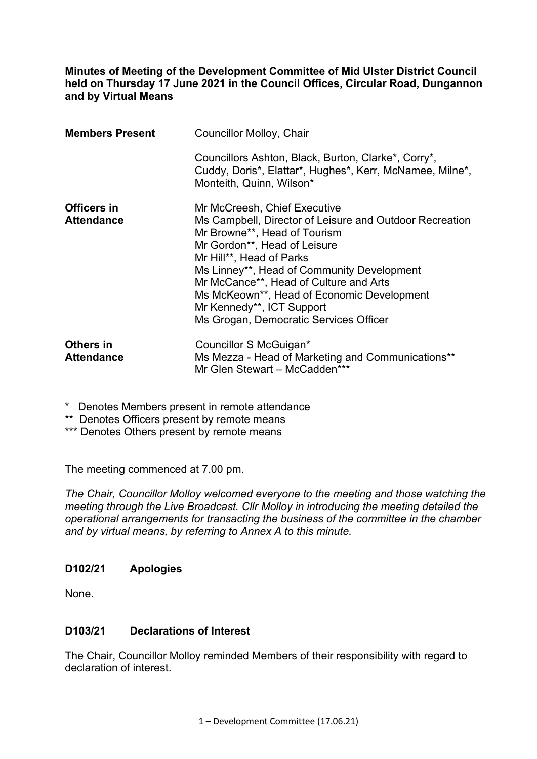**Minutes of Meeting of the Development Committee of Mid Ulster District Council held on Thursday 17 June 2021 in the Council Offices, Circular Road, Dungannon and by Virtual Means** 

| <b>Members Present</b>                  | <b>Councillor Molloy, Chair</b>                                                                                                                                                                                                                                                                                                                                                                  |
|-----------------------------------------|--------------------------------------------------------------------------------------------------------------------------------------------------------------------------------------------------------------------------------------------------------------------------------------------------------------------------------------------------------------------------------------------------|
|                                         | Councillors Ashton, Black, Burton, Clarke*, Corry*,<br>Cuddy, Doris*, Elattar*, Hughes*, Kerr, McNamee, Milne*,<br>Monteith, Quinn, Wilson*                                                                                                                                                                                                                                                      |
| <b>Officers in</b><br><b>Attendance</b> | Mr McCreesh, Chief Executive<br>Ms Campbell, Director of Leisure and Outdoor Recreation<br>Mr Browne**, Head of Tourism<br>Mr Gordon**, Head of Leisure<br>Mr Hill**, Head of Parks<br>Ms Linney**, Head of Community Development<br>Mr McCance**, Head of Culture and Arts<br>Ms McKeown**, Head of Economic Development<br>Mr Kennedy**, ICT Support<br>Ms Grogan, Democratic Services Officer |
| <b>Others in</b><br><b>Attendance</b>   | Councillor S McGuigan*<br>Ms Mezza - Head of Marketing and Communications**<br>Mr Glen Stewart - McCadden***                                                                                                                                                                                                                                                                                     |

\* Denotes Members present in remote attendance

\*\* Denotes Officers present by remote means

\*\*\* Denotes Others present by remote means

The meeting commenced at 7.00 pm.

*The Chair, Councillor Molloy welcomed everyone to the meeting and those watching the meeting through the Live Broadcast. Cllr Molloy in introducing the meeting detailed the operational arrangements for transacting the business of the committee in the chamber and by virtual means, by referring to Annex A to this minute.* 

#### **D102/21 Apologies**

None.

#### **D103/21 Declarations of Interest**

The Chair, Councillor Molloy reminded Members of their responsibility with regard to declaration of interest.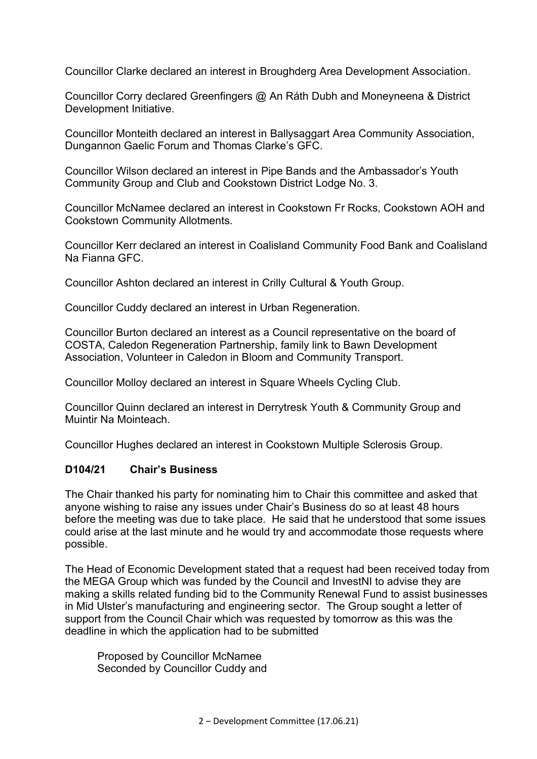Councillor Clarke declared an interest in Broughderg Area Development Association.

Councillor Corry declared Greenfingers @ An Ráth Dubh and Moneyneena & District Development Initiative.

Councillor Monteith declared an interest in Ballysaggart Area Community Association, Dungannon Gaelic Forum and Thomas Clarke's GFC.

Councillor Wilson declared an interest in Pipe Bands and the Ambassador's Youth Community Group and Club and Cookstown District Lodge No. 3.

Councillor McNamee declared an interest in Cookstown Fr Rocks, Cookstown AOH and Cookstown Community Allotments.

Councillor Kerr declared an interest in Coalisland Community Food Bank and Coalisland Na Fianna GFC.

Councillor Ashton declared an interest in Crilly Cultural & Youth Group.

Councillor Cuddy declared an interest in Urban Regeneration.

Councillor Burton declared an interest as a Council representative on the board of COSTA, Caledon Regeneration Partnership, family link to Bawn Development Association, Volunteer in Caledon in Bloom and Community Transport.

Councillor Molloy declared an interest in Square Wheels Cycling Club.

Councillor Quinn declared an interest in Derrytresk Youth & Community Group and Muintir Na Mointeach.

Councillor Hughes declared an interest in Cookstown Multiple Sclerosis Group.

#### **D104/21 Chair's Business**

The Chair thanked his party for nominating him to Chair this committee and asked that anyone wishing to raise any issues under Chair's Business do so at least 48 hours before the meeting was due to take place. He said that he understood that some issues could arise at the last minute and he would try and accommodate those requests where possible.

The Head of Economic Development stated that a request had been received today from the MEGA Group which was funded by the Council and InvestNI to advise they are making a skills related funding bid to the Community Renewal Fund to assist businesses in Mid Ulster's manufacturing and engineering sector. The Group sought a letter of support from the Council Chair which was requested by tomorrow as this was the deadline in which the application had to be submitted

Proposed by Councillor McNamee Seconded by Councillor Cuddy and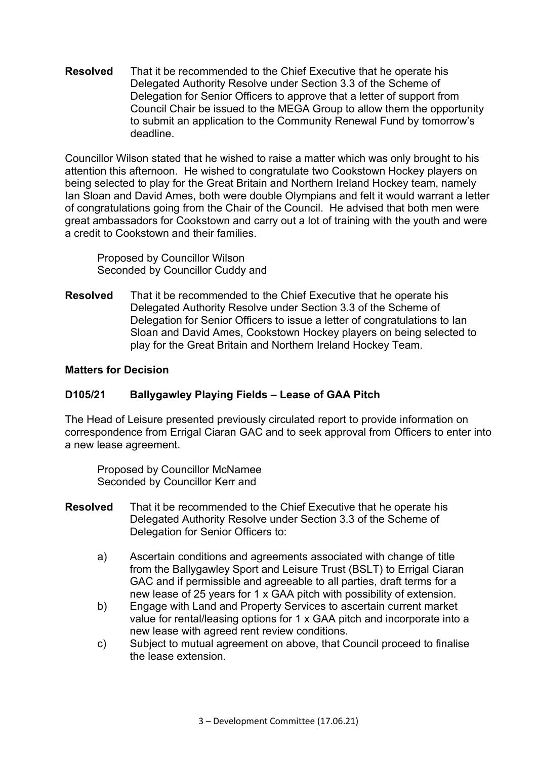**Resolved** That it be recommended to the Chief Executive that he operate his Delegated Authority Resolve under Section 3.3 of the Scheme of Delegation for Senior Officers to approve that a letter of support from Council Chair be issued to the MEGA Group to allow them the opportunity to submit an application to the Community Renewal Fund by tomorrow's deadline.

Councillor Wilson stated that he wished to raise a matter which was only brought to his attention this afternoon. He wished to congratulate two Cookstown Hockey players on being selected to play for the Great Britain and Northern Ireland Hockey team, namely Ian Sloan and David Ames, both were double Olympians and felt it would warrant a letter of congratulations going from the Chair of the Council. He advised that both men were great ambassadors for Cookstown and carry out a lot of training with the youth and were a credit to Cookstown and their families.

Proposed by Councillor Wilson Seconded by Councillor Cuddy and

**Resolved** That it be recommended to the Chief Executive that he operate his Delegated Authority Resolve under Section 3.3 of the Scheme of Delegation for Senior Officers to issue a letter of congratulations to Ian Sloan and David Ames, Cookstown Hockey players on being selected to play for the Great Britain and Northern Ireland Hockey Team.

#### **Matters for Decision**

## **D105/21 Ballygawley Playing Fields – Lease of GAA Pitch**

The Head of Leisure presented previously circulated report to provide information on correspondence from Errigal Ciaran GAC and to seek approval from Officers to enter into a new lease agreement.

 Proposed by Councillor McNamee Seconded by Councillor Kerr and

- **Resolved** That it be recommended to the Chief Executive that he operate his Delegated Authority Resolve under Section 3.3 of the Scheme of Delegation for Senior Officers to:
	- a) Ascertain conditions and agreements associated with change of title from the Ballygawley Sport and Leisure Trust (BSLT) to Errigal Ciaran GAC and if permissible and agreeable to all parties, draft terms for a new lease of 25 years for 1 x GAA pitch with possibility of extension.
	- b) Engage with Land and Property Services to ascertain current market value for rental/leasing options for 1 x GAA pitch and incorporate into a new lease with agreed rent review conditions.
	- c) Subject to mutual agreement on above, that Council proceed to finalise the lease extension.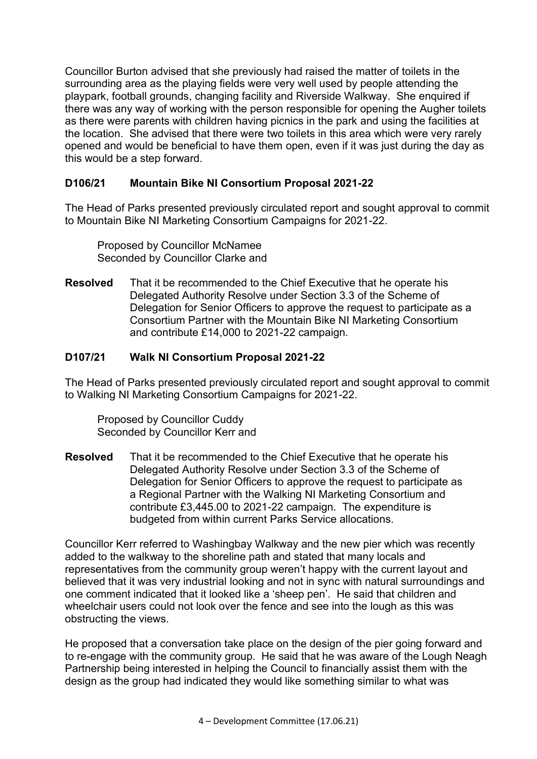Councillor Burton advised that she previously had raised the matter of toilets in the surrounding area as the playing fields were very well used by people attending the playpark, football grounds, changing facility and Riverside Walkway. She enquired if there was any way of working with the person responsible for opening the Augher toilets as there were parents with children having picnics in the park and using the facilities at the location. She advised that there were two toilets in this area which were very rarely opened and would be beneficial to have them open, even if it was just during the day as this would be a step forward.

## **D106/21 Mountain Bike NI Consortium Proposal 2021-22**

The Head of Parks presented previously circulated report and sought approval to commit to Mountain Bike NI Marketing Consortium Campaigns for 2021-22.

 Proposed by Councillor McNamee Seconded by Councillor Clarke and

**Resolved** That it be recommended to the Chief Executive that he operate his Delegated Authority Resolve under Section 3.3 of the Scheme of Delegation for Senior Officers to approve the request to participate as a Consortium Partner with the Mountain Bike NI Marketing Consortium and contribute £14,000 to 2021-22 campaign.

# **D107/21 Walk NI Consortium Proposal 2021-22**

The Head of Parks presented previously circulated report and sought approval to commit to Walking NI Marketing Consortium Campaigns for 2021-22.

 Proposed by Councillor Cuddy Seconded by Councillor Kerr and

**Resolved** That it be recommended to the Chief Executive that he operate his Delegated Authority Resolve under Section 3.3 of the Scheme of Delegation for Senior Officers to approve the request to participate as a Regional Partner with the Walking NI Marketing Consortium and contribute £3,445.00 to 2021-22 campaign. The expenditure is budgeted from within current Parks Service allocations.

Councillor Kerr referred to Washingbay Walkway and the new pier which was recently added to the walkway to the shoreline path and stated that many locals and representatives from the community group weren't happy with the current layout and believed that it was very industrial looking and not in sync with natural surroundings and one comment indicated that it looked like a 'sheep pen'. He said that children and wheelchair users could not look over the fence and see into the lough as this was obstructing the views.

He proposed that a conversation take place on the design of the pier going forward and to re-engage with the community group. He said that he was aware of the Lough Neagh Partnership being interested in helping the Council to financially assist them with the design as the group had indicated they would like something similar to what was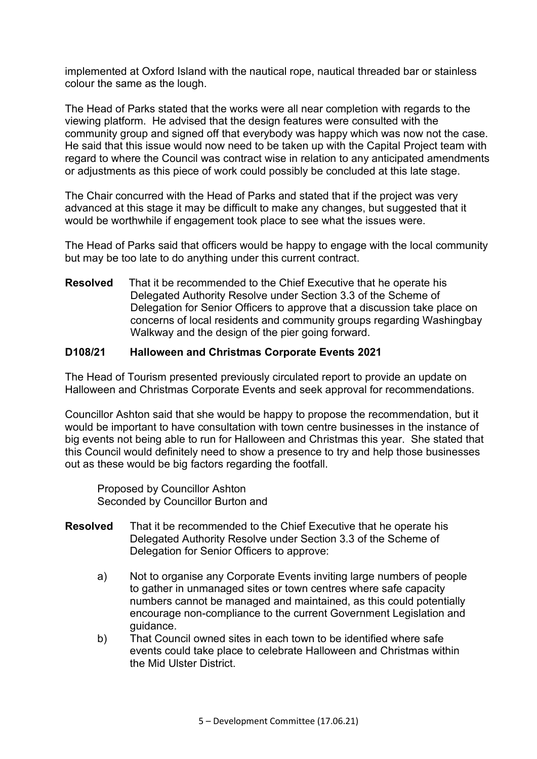implemented at Oxford Island with the nautical rope, nautical threaded bar or stainless colour the same as the lough.

The Head of Parks stated that the works were all near completion with regards to the viewing platform. He advised that the design features were consulted with the community group and signed off that everybody was happy which was now not the case. He said that this issue would now need to be taken up with the Capital Project team with regard to where the Council was contract wise in relation to any anticipated amendments or adjustments as this piece of work could possibly be concluded at this late stage.

The Chair concurred with the Head of Parks and stated that if the project was very advanced at this stage it may be difficult to make any changes, but suggested that it would be worthwhile if engagement took place to see what the issues were.

The Head of Parks said that officers would be happy to engage with the local community but may be too late to do anything under this current contract.

**Resolved** That it be recommended to the Chief Executive that he operate his Delegated Authority Resolve under Section 3.3 of the Scheme of Delegation for Senior Officers to approve that a discussion take place on concerns of local residents and community groups regarding Washingbay Walkway and the design of the pier going forward.

#### **D108/21 Halloween and Christmas Corporate Events 2021**

The Head of Tourism presented previously circulated report to provide an update on Halloween and Christmas Corporate Events and seek approval for recommendations.

Councillor Ashton said that she would be happy to propose the recommendation, but it would be important to have consultation with town centre businesses in the instance of big events not being able to run for Halloween and Christmas this year. She stated that this Council would definitely need to show a presence to try and help those businesses out as these would be big factors regarding the footfall.

 Proposed by Councillor Ashton Seconded by Councillor Burton and

- **Resolved** That it be recommended to the Chief Executive that he operate his Delegated Authority Resolve under Section 3.3 of the Scheme of Delegation for Senior Officers to approve:
	- a) Not to organise any Corporate Events inviting large numbers of people to gather in unmanaged sites or town centres where safe capacity numbers cannot be managed and maintained, as this could potentially encourage non-compliance to the current Government Legislation and guidance.
	- b) That Council owned sites in each town to be identified where safe events could take place to celebrate Halloween and Christmas within the Mid Ulster District.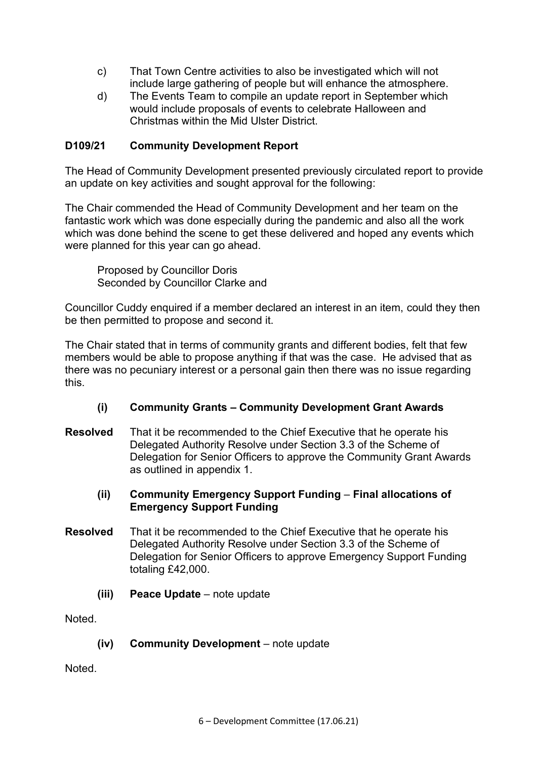- c) That Town Centre activities to also be investigated which will not include large gathering of people but will enhance the atmosphere.
- d) The Events Team to compile an update report in September which would include proposals of events to celebrate Halloween and Christmas within the Mid Ulster District.

## **D109/21 Community Development Report**

The Head of Community Development presented previously circulated report to provide an update on key activities and sought approval for the following:

The Chair commended the Head of Community Development and her team on the fantastic work which was done especially during the pandemic and also all the work which was done behind the scene to get these delivered and hoped any events which were planned for this year can go ahead.

 Proposed by Councillor Doris Seconded by Councillor Clarke and

Councillor Cuddy enquired if a member declared an interest in an item, could they then be then permitted to propose and second it.

The Chair stated that in terms of community grants and different bodies, felt that few members would be able to propose anything if that was the case. He advised that as there was no pecuniary interest or a personal gain then there was no issue regarding this.

- **(i) Community Grants – Community Development Grant Awards**
- **Resolved** That it be recommended to the Chief Executive that he operate his Delegated Authority Resolve under Section 3.3 of the Scheme of Delegation for Senior Officers to approve the Community Grant Awards as outlined in appendix 1.
	- **(ii) Community Emergency Support Funding Final allocations of Emergency Support Funding**
- **Resolved** That it be recommended to the Chief Executive that he operate his Delegated Authority Resolve under Section 3.3 of the Scheme of Delegation for Senior Officers to approve Emergency Support Funding totaling £42,000.
	- **(iii) Peace Update** note update

**Noted** 

**(iv) Community Development** – note update

Noted.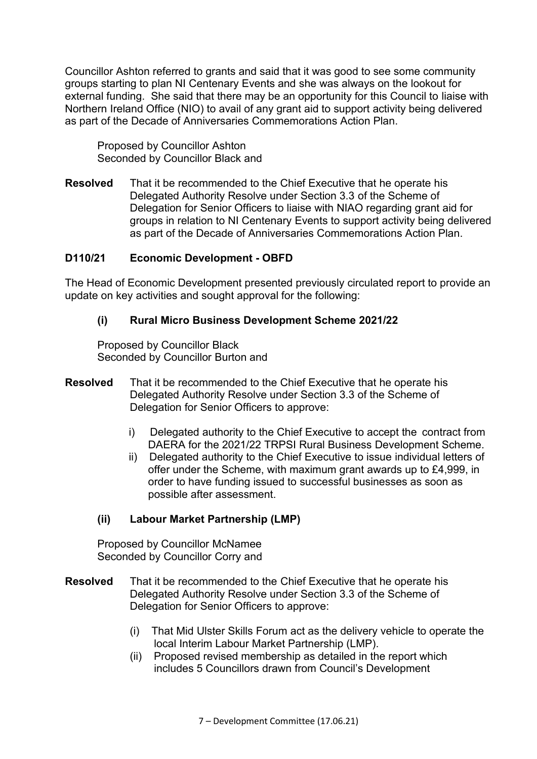Councillor Ashton referred to grants and said that it was good to see some community groups starting to plan NI Centenary Events and she was always on the lookout for external funding. She said that there may be an opportunity for this Council to liaise with Northern Ireland Office (NIO) to avail of any grant aid to support activity being delivered as part of the Decade of Anniversaries Commemorations Action Plan.

 Proposed by Councillor Ashton Seconded by Councillor Black and

**Resolved** That it be recommended to the Chief Executive that he operate his Delegated Authority Resolve under Section 3.3 of the Scheme of Delegation for Senior Officers to liaise with NIAO regarding grant aid for groups in relation to NI Centenary Events to support activity being delivered as part of the Decade of Anniversaries Commemorations Action Plan.

#### **D110/21 Economic Development - OBFD**

The Head of Economic Development presented previously circulated report to provide an update on key activities and sought approval for the following:

#### **(i) Rural Micro Business Development Scheme 2021/22**

 Proposed by Councillor Black Seconded by Councillor Burton and

- **Resolved** That it be recommended to the Chief Executive that he operate his Delegated Authority Resolve under Section 3.3 of the Scheme of Delegation for Senior Officers to approve:
	- i) Delegated authority to the Chief Executive to accept the contract from DAERA for the 2021/22 TRPSI Rural Business Development Scheme.
	- ii) Delegated authority to the Chief Executive to issue individual letters of offer under the Scheme, with maximum grant awards up to £4,999, in order to have funding issued to successful businesses as soon as possible after assessment.

#### **(ii) Labour Market Partnership (LMP)**

 Proposed by Councillor McNamee Seconded by Councillor Corry and

- **Resolved** That it be recommended to the Chief Executive that he operate his Delegated Authority Resolve under Section 3.3 of the Scheme of Delegation for Senior Officers to approve:
	- (i) That Mid Ulster Skills Forum act as the delivery vehicle to operate the local Interim Labour Market Partnership (LMP).
	- (ii) Proposed revised membership as detailed in the report which includes 5 Councillors drawn from Council's Development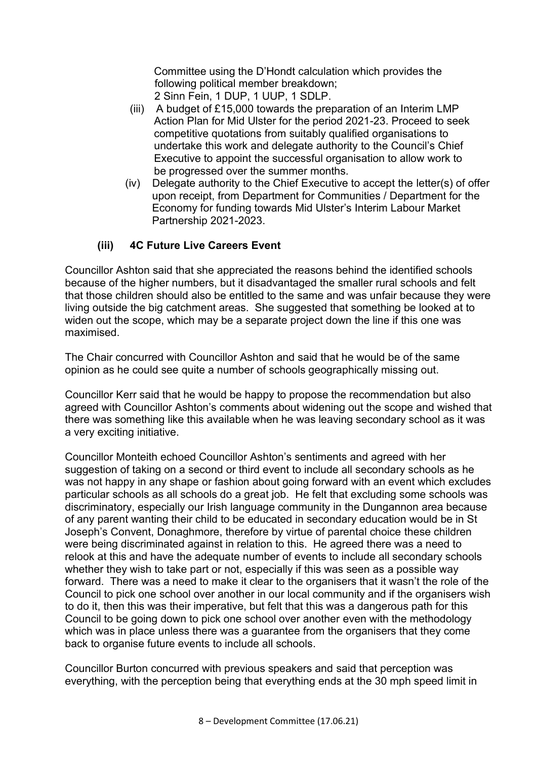Committee using the D'Hondt calculation which provides the following political member breakdown;

- 2 Sinn Fein, 1 DUP, 1 UUP, 1 SDLP.
- (iii) A budget of £15,000 towards the preparation of an Interim LMP Action Plan for Mid Ulster for the period 2021-23. Proceed to seek competitive quotations from suitably qualified organisations to undertake this work and delegate authority to the Council's Chief Executive to appoint the successful organisation to allow work to be progressed over the summer months.
- (iv) Delegate authority to the Chief Executive to accept the letter(s) of offer upon receipt, from Department for Communities / Department for the Economy for funding towards Mid Ulster's Interim Labour Market Partnership 2021-2023.

## **(iii) 4C Future Live Careers Event**

Councillor Ashton said that she appreciated the reasons behind the identified schools because of the higher numbers, but it disadvantaged the smaller rural schools and felt that those children should also be entitled to the same and was unfair because they were living outside the big catchment areas. She suggested that something be looked at to widen out the scope, which may be a separate project down the line if this one was maximised.

The Chair concurred with Councillor Ashton and said that he would be of the same opinion as he could see quite a number of schools geographically missing out.

Councillor Kerr said that he would be happy to propose the recommendation but also agreed with Councillor Ashton's comments about widening out the scope and wished that there was something like this available when he was leaving secondary school as it was a very exciting initiative.

Councillor Monteith echoed Councillor Ashton's sentiments and agreed with her suggestion of taking on a second or third event to include all secondary schools as he was not happy in any shape or fashion about going forward with an event which excludes particular schools as all schools do a great job. He felt that excluding some schools was discriminatory, especially our Irish language community in the Dungannon area because of any parent wanting their child to be educated in secondary education would be in St Joseph's Convent, Donaghmore, therefore by virtue of parental choice these children were being discriminated against in relation to this. He agreed there was a need to relook at this and have the adequate number of events to include all secondary schools whether they wish to take part or not, especially if this was seen as a possible way forward. There was a need to make it clear to the organisers that it wasn't the role of the Council to pick one school over another in our local community and if the organisers wish to do it, then this was their imperative, but felt that this was a dangerous path for this Council to be going down to pick one school over another even with the methodology which was in place unless there was a guarantee from the organisers that they come back to organise future events to include all schools.

Councillor Burton concurred with previous speakers and said that perception was everything, with the perception being that everything ends at the 30 mph speed limit in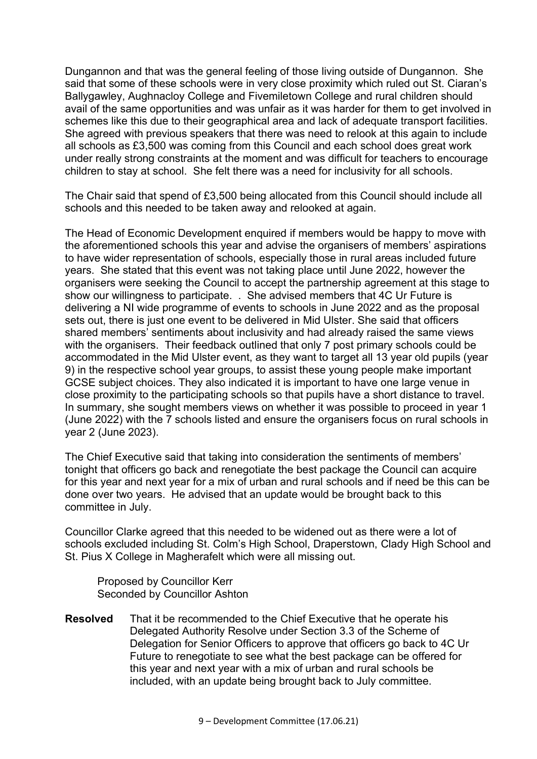Dungannon and that was the general feeling of those living outside of Dungannon. She said that some of these schools were in very close proximity which ruled out St. Ciaran's Ballygawley, Aughnacloy College and Fivemiletown College and rural children should avail of the same opportunities and was unfair as it was harder for them to get involved in schemes like this due to their geographical area and lack of adequate transport facilities. She agreed with previous speakers that there was need to relook at this again to include all schools as £3,500 was coming from this Council and each school does great work under really strong constraints at the moment and was difficult for teachers to encourage children to stay at school. She felt there was a need for inclusivity for all schools.

The Chair said that spend of £3,500 being allocated from this Council should include all schools and this needed to be taken away and relooked at again.

The Head of Economic Development enquired if members would be happy to move with the aforementioned schools this year and advise the organisers of members' aspirations to have wider representation of schools, especially those in rural areas included future years. She stated that this event was not taking place until June 2022, however the organisers were seeking the Council to accept the partnership agreement at this stage to show our willingness to participate. . She advised members that 4C Ur Future is delivering a NI wide programme of events to schools in June 2022 and as the proposal sets out, there is just one event to be delivered in Mid Ulster. She said that officers shared members' sentiments about inclusivity and had already raised the same views with the organisers. Their feedback outlined that only 7 post primary schools could be accommodated in the Mid Ulster event, as they want to target all 13 year old pupils (year 9) in the respective school year groups, to assist these young people make important GCSE subject choices. They also indicated it is important to have one large venue in close proximity to the participating schools so that pupils have a short distance to travel. In summary, she sought members views on whether it was possible to proceed in year 1 (June 2022) with the 7 schools listed and ensure the organisers focus on rural schools in year 2 (June 2023).

The Chief Executive said that taking into consideration the sentiments of members' tonight that officers go back and renegotiate the best package the Council can acquire for this year and next year for a mix of urban and rural schools and if need be this can be done over two years. He advised that an update would be brought back to this committee in July.

Councillor Clarke agreed that this needed to be widened out as there were a lot of schools excluded including St. Colm's High School, Draperstown, Clady High School and St. Pius X College in Magherafelt which were all missing out.

 Proposed by Councillor Kerr Seconded by Councillor Ashton

**Resolved** That it be recommended to the Chief Executive that he operate his Delegated Authority Resolve under Section 3.3 of the Scheme of Delegation for Senior Officers to approve that officers go back to 4C Ur Future to renegotiate to see what the best package can be offered for this year and next year with a mix of urban and rural schools be included, with an update being brought back to July committee.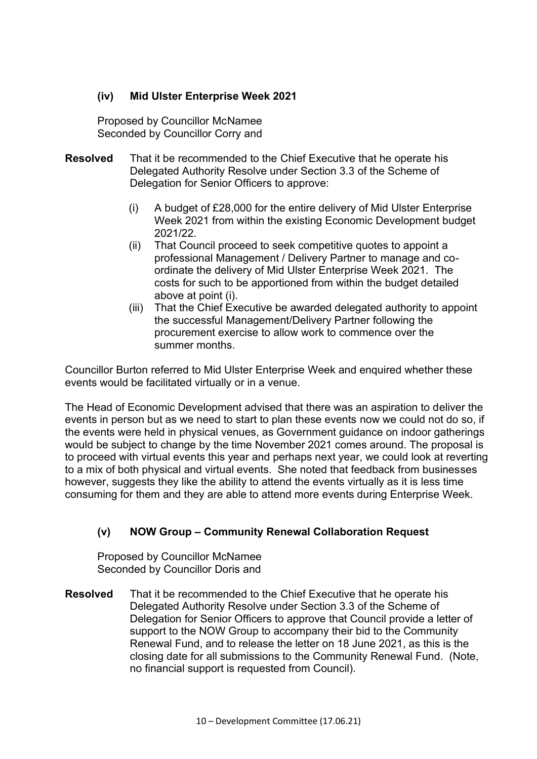#### **(iv) Mid Ulster Enterprise Week 2021**

Proposed by Councillor Mc Namee Seconded by Councillor Corry and

- **Resolved** That it be recommended to the Chief Executive that he operate his Delegated Authority Resolve under Section 3.3 of the Scheme of Delegation for Senior Officers to approve:
	- (i) A budget of £28,000 for the entire delivery of Mid Ulster Enterprise Week 2021 from within the existing Economic Development budget 2021/22.
	- (ii) That Council proceed to seek competitive quotes to appoint a professional Management / Delivery Partner to manage and co ordinate the delivery of Mid Ulster Enterprise Week 2021. The costs for such to be apportioned from within the budget detailed above at point (i).
	- (iii) That the Chief Executive be awarded delegated authority to appoint the successful Management/Delivery Partner following the procurement exercise to allow work to commence over the summer months.

Councillor Burton referred to Mid Ulster Enterprise Week and enquired whether these events would be facilitated virtually or in a venue.

The Head of Economic Development advised that there was an aspiration to deliver the events in person but as we need to start to plan these events now we could not do so, if the events were held in physical venues, as Government guidance on indoor gatherings would be subject to change by the time November 2021 comes around. The proposal is to proceed with virtual events this year and perhaps next year, we could look at reverting to a mix of both physical and virtual events. She noted that feedback from businesses however, suggests they like the ability to attend the events virtually as it is less time consuming for them and they are able to attend more events during Enterprise Week.

# **(v) NOW Group – Community Renewal Collaboration Request**

 Proposed by Councillor McNamee Seconded by Councillor Doris and

**Resolved** That it be recommended to the Chief Executive that he operate his Delegated Authority Resolve under Section 3.3 of the Scheme of Delegation for Senior Officers to approve that Council provide a letter of support to the NOW Group to accompany their bid to the Community Renewal Fund, and to release the letter on 18 June 2021, as this is the closing date for all submissions to the Community Renewal Fund. (Note, no financial support is requested from Council).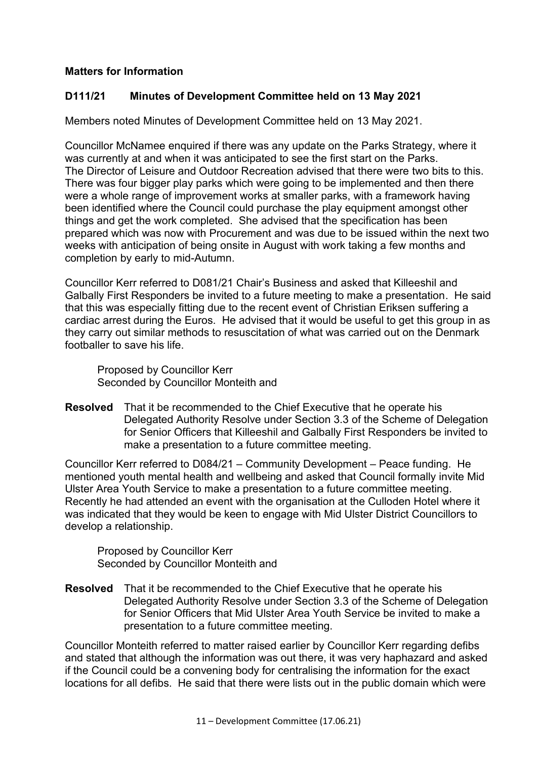## **Matters for Information**

#### **D111/21 Minutes of Development Committee held on 13 May 2021**

Members noted Minutes of Development Committee held on 13 May 2021.

Councillor McNamee enquired if there was any update on the Parks Strategy, where it was currently at and when it was anticipated to see the first start on the Parks. The Director of Leisure and Outdoor Recreation advised that there were two bits to this. There was four bigger play parks which were going to be implemented and then there were a whole range of improvement works at smaller parks, with a framework having been identified where the Council could purchase the play equipment amongst other things and get the work completed. She advised that the specification has been prepared which was now with Procurement and was due to be issued within the next two weeks with anticipation of being onsite in August with work taking a few months and completion by early to mid-Autumn.

Councillor Kerr referred to D081/21 Chair's Business and asked that Killeeshil and Galbally First Responders be invited to a future meeting to make a presentation. He said that this was especially fitting due to the recent event of Christian Eriksen suffering a cardiac arrest during the Euros. He advised that it would be useful to get this group in as they carry out similar methods to resuscitation of what was carried out on the Denmark footballer to save his life.

 Proposed by Councillor Kerr Seconded by Councillor Monteith and

**Resolved** That it be recommended to the Chief Executive that he operate his Delegated Authority Resolve under Section 3.3 of the Scheme of Delegation for Senior Officers that Killeeshil and Galbally First Responders be invited to make a presentation to a future committee meeting.

Councillor Kerr referred to D084/21 – Community Development – Peace funding. He mentioned youth mental health and wellbeing and asked that Council formally invite Mid Ulster Area Youth Service to make a presentation to a future committee meeting. Recently he had attended an event with the organisation at the Culloden Hotel where it was indicated that they would be keen to engage with Mid Ulster District Councillors to develop a relationship.

 Proposed by Councillor Kerr Seconded by Councillor Monteith and

**Resolved** That it be recommended to the Chief Executive that he operate his Delegated Authority Resolve under Section 3.3 of the Scheme of Delegation for Senior Officers that Mid Ulster Area Youth Service be invited to make a presentation to a future committee meeting.

Councillor Monteith referred to matter raised earlier by Councillor Kerr regarding defibs and stated that although the information was out there, it was very haphazard and asked if the Council could be a convening body for centralising the information for the exact locations for all defibs. He said that there were lists out in the public domain which were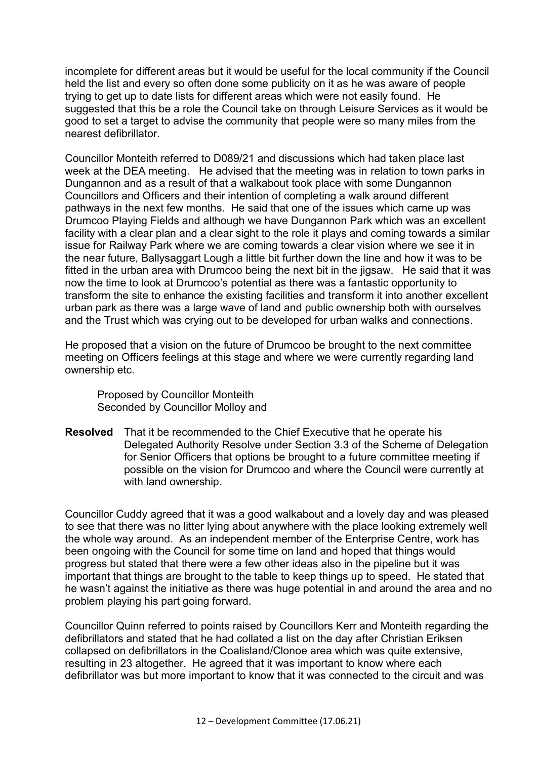incomplete for different areas but it would be useful for the local community if the Council held the list and every so often done some publicity on it as he was aware of people trying to get up to date lists for different areas which were not easily found. He suggested that this be a role the Council take on through Leisure Services as it would be good to set a target to advise the community that people were so many miles from the nearest defibrillator.

Councillor Monteith referred to D089/21 and discussions which had taken place last week at the DEA meeting. He advised that the meeting was in relation to town parks in Dungannon and as a result of that a walkabout took place with some Dungannon Councillors and Officers and their intention of completing a walk around different pathways in the next few months. He said that one of the issues which came up was Drumcoo Playing Fields and although we have Dungannon Park which was an excellent facility with a clear plan and a clear sight to the role it plays and coming towards a similar issue for Railway Park where we are coming towards a clear vision where we see it in the near future, Ballysaggart Lough a little bit further down the line and how it was to be fitted in the urban area with Drumcoo being the next bit in the jigsaw. He said that it was now the time to look at Drumcoo's potential as there was a fantastic opportunity to transform the site to enhance the existing facilities and transform it into another excellent urban park as there was a large wave of land and public ownership both with ourselves and the Trust which was crying out to be developed for urban walks and connections.

He proposed that a vision on the future of Drumcoo be brought to the next committee meeting on Officers feelings at this stage and where we were currently regarding land ownership etc.

 Proposed by Councillor Monteith Seconded by Councillor Molloy and

**Resolved** That it be recommended to the Chief Executive that he operate his Delegated Authority Resolve under Section 3.3 of the Scheme of Delegation for Senior Officers that options be brought to a future committee meeting if possible on the vision for Drumcoo and where the Council were currently at with land ownership.

Councillor Cuddy agreed that it was a good walkabout and a lovely day and was pleased to see that there was no litter lying about anywhere with the place looking extremely well the whole way around. As an independent member of the Enterprise Centre, work has been ongoing with the Council for some time on land and hoped that things would progress but stated that there were a few other ideas also in the pipeline but it was important that things are brought to the table to keep things up to speed. He stated that he wasn't against the initiative as there was huge potential in and around the area and no problem playing his part going forward.

Councillor Quinn referred to points raised by Councillors Kerr and Monteith regarding the defibrillators and stated that he had collated a list on the day after Christian Eriksen collapsed on defibrillators in the Coalisland/Clonoe area which was quite extensive, resulting in 23 altogether. He agreed that it was important to know where each defibrillator was but more important to know that it was connected to the circuit and was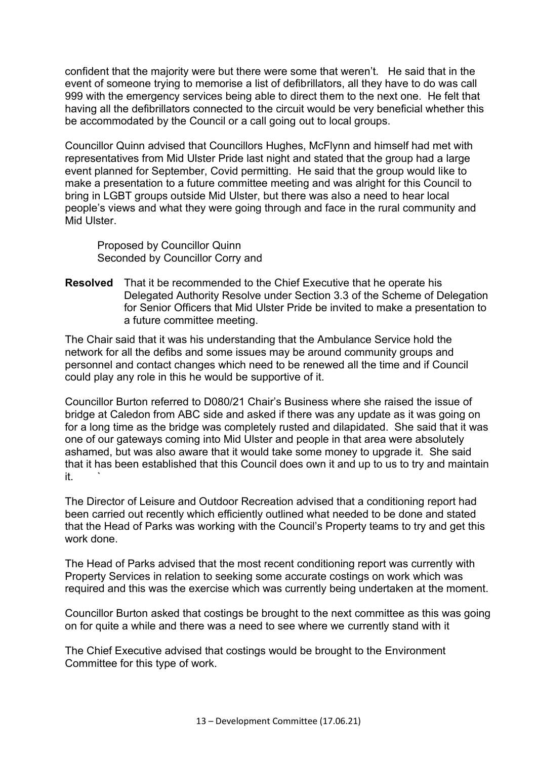confident that the majority were but there were some that weren't. He said that in the event of someone trying to memorise a list of defibrillators, all they have to do was call 999 with the emergency services being able to direct them to the next one. He felt that having all the defibrillators connected to the circuit would be very beneficial whether this be accommodated by the Council or a call going out to local groups.

Councillor Quinn advised that Councillors Hughes, McFlynn and himself had met with representatives from Mid Ulster Pride last night and stated that the group had a large event planned for September, Covid permitting. He said that the group would like to make a presentation to a future committee meeting and was alright for this Council to bring in LGBT groups outside Mid Ulster, but there was also a need to hear local people's views and what they were going through and face in the rural community and Mid Ulster.

 Proposed by Councillor Quinn Seconded by Councillor Corry and

**Resolved** That it be recommended to the Chief Executive that he operate his Delegated Authority Resolve under Section 3.3 of the Scheme of Delegation for Senior Officers that Mid Ulster Pride be invited to make a presentation to a future committee meeting.

The Chair said that it was his understanding that the Ambulance Service hold the network for all the defibs and some issues may be around community groups and personnel and contact changes which need to be renewed all the time and if Council could play any role in this he would be supportive of it.

Councillor Burton referred to D080/21 Chair's Business where she raised the issue of bridge at Caledon from ABC side and asked if there was any update as it was going on for a long time as the bridge was completely rusted and dilapidated. She said that it was one of our gateways coming into Mid Ulster and people in that area were absolutely ashamed, but was also aware that it would take some money to upgrade it. She said that it has been established that this Council does own it and up to us to try and maintain it. `

The Director of Leisure and Outdoor Recreation advised that a conditioning report had been carried out recently which efficiently outlined what needed to be done and stated that the Head of Parks was working with the Council's Property teams to try and get this work done.

The Head of Parks advised that the most recent conditioning report was currently with Property Services in relation to seeking some accurate costings on work which was required and this was the exercise which was currently being undertaken at the moment.

Councillor Burton asked that costings be brought to the next committee as this was going on for quite a while and there was a need to see where we currently stand with it

The Chief Executive advised that costings would be brought to the Environment Committee for this type of work.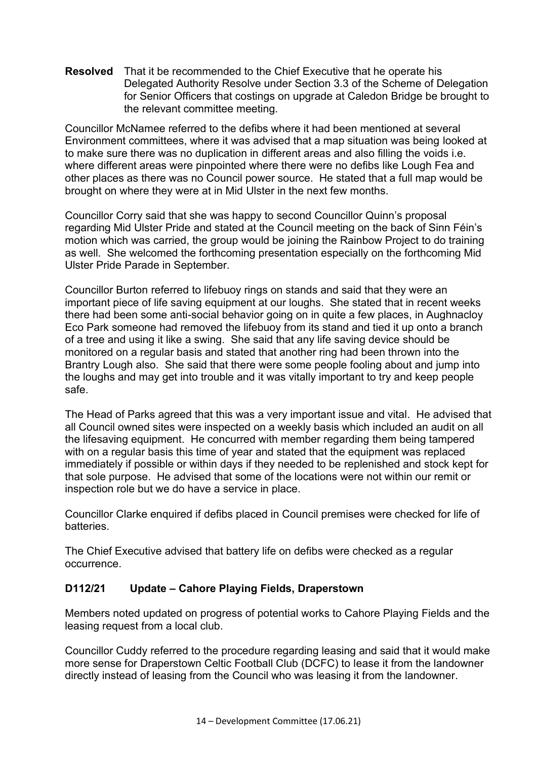**Resolved** That it be recommended to the Chief Executive that he operate his Delegated Authority Resolve under Section 3.3 of the Scheme of Delegation for Senior Officers that costings on upgrade at Caledon Bridge be brought to the relevant committee meeting.

Councillor McNamee referred to the defibs where it had been mentioned at several Environment committees, where it was advised that a map situation was being looked at to make sure there was no duplication in different areas and also filling the voids i.e. where different areas were pinpointed where there were no defibs like Lough Fea and other places as there was no Council power source. He stated that a full map would be brought on where they were at in Mid Ulster in the next few months.

Councillor Corry said that she was happy to second Councillor Quinn's proposal regarding Mid Ulster Pride and stated at the Council meeting on the back of Sinn Féin's motion which was carried, the group would be joining the Rainbow Project to do training as well. She welcomed the forthcoming presentation especially on the forthcoming Mid Ulster Pride Parade in September.

Councillor Burton referred to lifebuoy rings on stands and said that they were an important piece of life saving equipment at our loughs. She stated that in recent weeks there had been some anti-social behavior going on in quite a few places, in Aughnacloy Eco Park someone had removed the lifebuoy from its stand and tied it up onto a branch of a tree and using it like a swing. She said that any life saving device should be monitored on a regular basis and stated that another ring had been thrown into the Brantry Lough also. She said that there were some people fooling about and jump into the loughs and may get into trouble and it was vitally important to try and keep people safe.

The Head of Parks agreed that this was a very important issue and vital. He advised that all Council owned sites were inspected on a weekly basis which included an audit on all the lifesaving equipment. He concurred with member regarding them being tampered with on a regular basis this time of year and stated that the equipment was replaced immediately if possible or within days if they needed to be replenished and stock kept for that sole purpose. He advised that some of the locations were not within our remit or inspection role but we do have a service in place.

Councillor Clarke enquired if defibs placed in Council premises were checked for life of batteries.

The Chief Executive advised that battery life on defibs were checked as a regular occurrence.

## **D112/21 Update – Cahore Playing Fields, Draperstown**

Members noted updated on progress of potential works to Cahore Playing Fields and the leasing request from a local club.

Councillor Cuddy referred to the procedure regarding leasing and said that it would make more sense for Draperstown Celtic Football Club (DCFC) to lease it from the landowner directly instead of leasing from the Council who was leasing it from the landowner.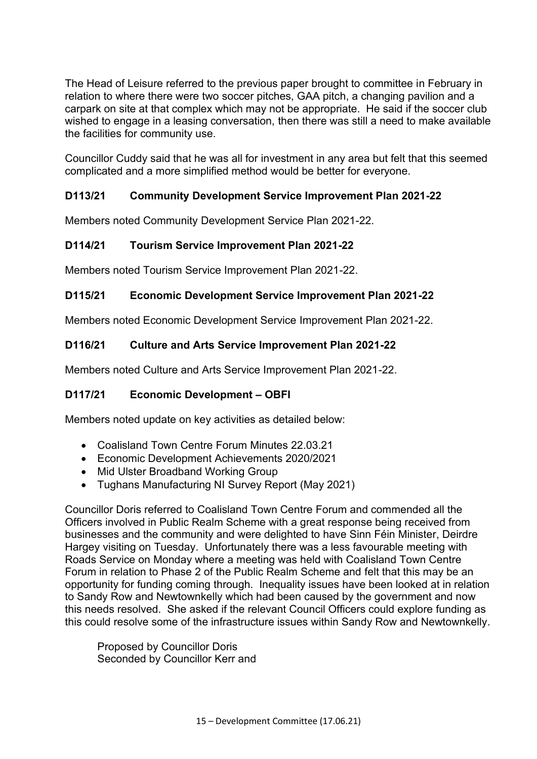The Head of Leisure referred to the previous paper brought to committee in February in relation to where there were two soccer pitches, GAA pitch, a changing pavilion and a carpark on site at that complex which may not be appropriate. He said if the soccer club wished to engage in a leasing conversation, then there was still a need to make available the facilities for community use.

Councillor Cuddy said that he was all for investment in any area but felt that this seemed complicated and a more simplified method would be better for everyone.

# **D113/21 Community Development Service Improvement Plan 2021-22**

Members noted Community Development Service Plan 2021-22.

## **D114/21 Tourism Service Improvement Plan 2021-22**

Members noted Tourism Service Improvement Plan 2021-22.

## **D115/21 Economic Development Service Improvement Plan 2021-22**

Members noted Economic Development Service Improvement Plan 2021-22.

## **D116/21 Culture and Arts Service Improvement Plan 2021-22**

Members noted Culture and Arts Service Improvement Plan 2021-22.

## **D117/21 Economic Development – OBFI**

Members noted update on key activities as detailed below:

- Coalisland Town Centre Forum Minutes 22.03.21
- Economic Development Achievements 2020/2021
- Mid Ulster Broadband Working Group
- Tughans Manufacturing NI Survey Report (May 2021)

Councillor Doris referred to Coalisland Town Centre Forum and commended all the Officers involved in Public Realm Scheme with a great response being received from businesses and the community and were delighted to have Sinn Féin Minister, Deirdre Hargey visiting on Tuesday. Unfortunately there was a less favourable meeting with Roads Service on Monday where a meeting was held with Coalisland Town Centre Forum in relation to Phase 2 of the Public Realm Scheme and felt that this may be an opportunity for funding coming through. Inequality issues have been looked at in relation to Sandy Row and Newtownkelly which had been caused by the government and now this needs resolved. She asked if the relevant Council Officers could explore funding as this could resolve some of the infrastructure issues within Sandy Row and Newtownkelly.

 Proposed by Councillor Doris Seconded by Councillor Kerr and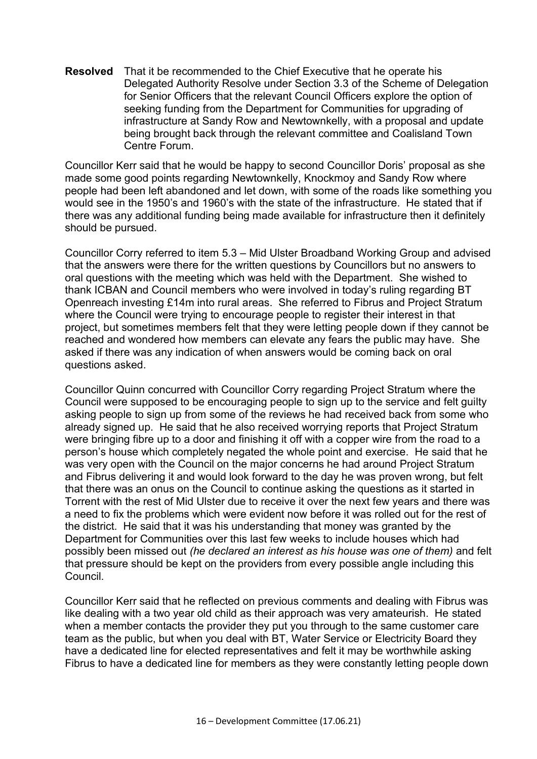**Resolved** That it be recommended to the Chief Executive that he operate his Delegated Authority Resolve under Section 3.3 of the Scheme of Delegation for Senior Officers that the relevant Council Officers explore the option of seeking funding from the Department for Communities for upgrading of infrastructure at Sandy Row and Newtownkelly, with a proposal and update being brought back through the relevant committee and Coalisland Town Centre Forum.

Councillor Kerr said that he would be happy to second Councillor Doris' proposal as she made some good points regarding Newtownkelly, Knockmoy and Sandy Row where people had been left abandoned and let down, with some of the roads like something you would see in the 1950's and 1960's with the state of the infrastructure. He stated that if there was any additional funding being made available for infrastructure then it definitely should be pursued.

Councillor Corry referred to item 5.3 – Mid Ulster Broadband Working Group and advised that the answers were there for the written questions by Councillors but no answers to oral questions with the meeting which was held with the Department. She wished to thank ICBAN and Council members who were involved in today's ruling regarding BT Openreach investing £14m into rural areas. She referred to Fibrus and Project Stratum where the Council were trying to encourage people to register their interest in that project, but sometimes members felt that they were letting people down if they cannot be reached and wondered how members can elevate any fears the public may have. She asked if there was any indication of when answers would be coming back on oral questions asked.

Councillor Quinn concurred with Councillor Corry regarding Project Stratum where the Council were supposed to be encouraging people to sign up to the service and felt guilty asking people to sign up from some of the reviews he had received back from some who already signed up. He said that he also received worrying reports that Project Stratum were bringing fibre up to a door and finishing it off with a copper wire from the road to a person's house which completely negated the whole point and exercise. He said that he was very open with the Council on the major concerns he had around Project Stratum and Fibrus delivering it and would look forward to the day he was proven wrong, but felt that there was an onus on the Council to continue asking the questions as it started in Torrent with the rest of Mid Ulster due to receive it over the next few years and there was a need to fix the problems which were evident now before it was rolled out for the rest of the district. He said that it was his understanding that money was granted by the Department for Communities over this last few weeks to include houses which had possibly been missed out *(he declared an interest as his house was one of them)* and felt that pressure should be kept on the providers from every possible angle including this Council.

Councillor Kerr said that he reflected on previous comments and dealing with Fibrus was like dealing with a two year old child as their approach was very amateurish. He stated when a member contacts the provider they put you through to the same customer care team as the public, but when you deal with BT, Water Service or Electricity Board they have a dedicated line for elected representatives and felt it may be worthwhile asking Fibrus to have a dedicated line for members as they were constantly letting people down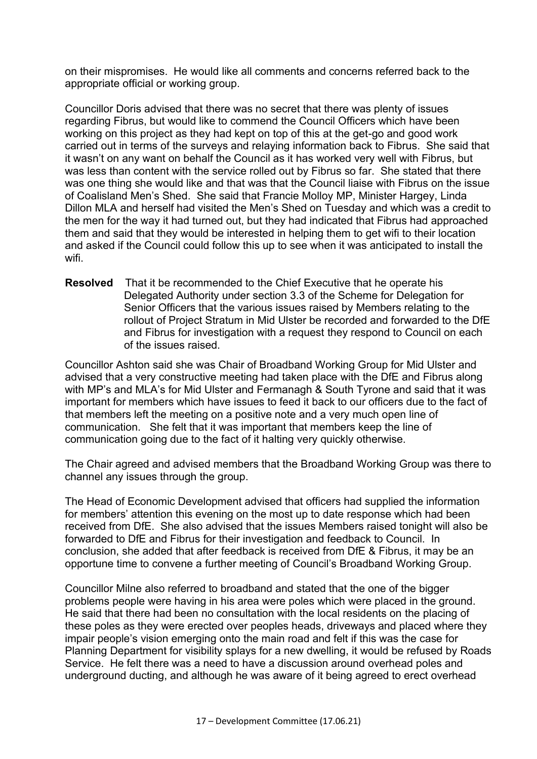on their mispromises. He would like all comments and concerns referred back to the appropriate official or working group.

Councillor Doris advised that there was no secret that there was plenty of issues regarding Fibrus, but would like to commend the Council Officers which have been working on this project as they had kept on top of this at the get-go and good work carried out in terms of the surveys and relaying information back to Fibrus. She said that it wasn't on any want on behalf the Council as it has worked very well with Fibrus, but was less than content with the service rolled out by Fibrus so far. She stated that there was one thing she would like and that was that the Council liaise with Fibrus on the issue of Coalisland Men's Shed. She said that Francie Molloy MP, Minister Hargey, Linda Dillon MLA and herself had visited the Men's Shed on Tuesday and which was a credit to the men for the way it had turned out, but they had indicated that Fibrus had approached them and said that they would be interested in helping them to get wifi to their location and asked if the Council could follow this up to see when it was anticipated to install the wifi.

**Resolved** That it be recommended to the Chief Executive that he operate his Delegated Authority under section 3.3 of the Scheme for Delegation for Senior Officers that the various issues raised by Members relating to the rollout of Project Stratum in Mid Ulster be recorded and forwarded to the DfE and Fibrus for investigation with a request they respond to Council on each of the issues raised.

Councillor Ashton said she was Chair of Broadband Working Group for Mid Ulster and advised that a very constructive meeting had taken place with the DfE and Fibrus along with MP's and MLA's for Mid Ulster and Fermanagh & South Tyrone and said that it was important for members which have issues to feed it back to our officers due to the fact of that members left the meeting on a positive note and a very much open line of communication. She felt that it was important that members keep the line of communication going due to the fact of it halting very quickly otherwise.

The Chair agreed and advised members that the Broadband Working Group was there to channel any issues through the group.

The Head of Economic Development advised that officers had supplied the information for members' attention this evening on the most up to date response which had been received from DfE. She also advised that the issues Members raised tonight will also be forwarded to DfE and Fibrus for their investigation and feedback to Council. In conclusion, she added that after feedback is received from DfE & Fibrus, it may be an opportune time to convene a further meeting of Council's Broadband Working Group.

Councillor Milne also referred to broadband and stated that the one of the bigger problems people were having in his area were poles which were placed in the ground. He said that there had been no consultation with the local residents on the placing of these poles as they were erected over peoples heads, driveways and placed where they impair people's vision emerging onto the main road and felt if this was the case for Planning Department for visibility splays for a new dwelling, it would be refused by Roads Service. He felt there was a need to have a discussion around overhead poles and underground ducting, and although he was aware of it being agreed to erect overhead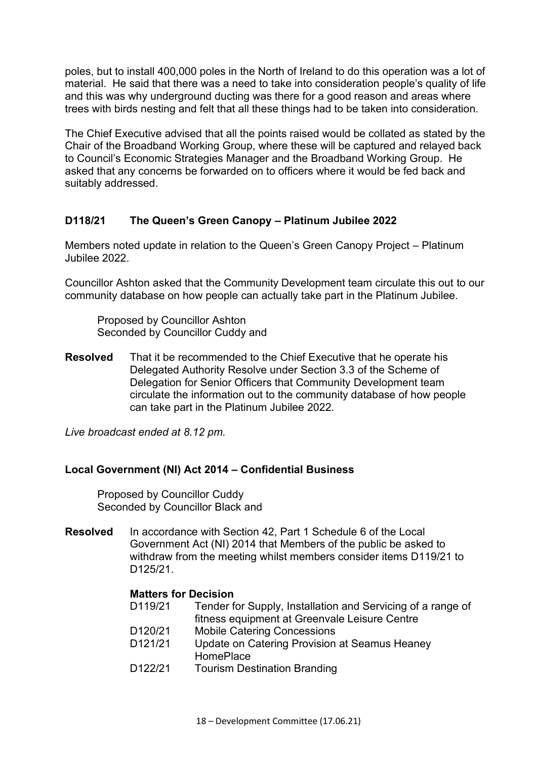poles, but to install 400,000 poles in the North of Ireland to do this operation was a lot of material. He said that there was a need to take into consideration people's quality of life and this was why underground ducting was there for a good reason and areas where trees with birds nesting and felt that all these things had to be taken into consideration.

The Chief Executive advised that all the points raised would be collated as stated by the Chair of the Broadband Working Group, where these will be captured and relayed back to Council's Economic Strategies Manager and the Broadband Working Group. He asked that any concerns be forwarded on to officers where it would be fed back and suitably addressed.

#### **D118/21 The Queen's Green Canopy – Platinum Jubilee 2022**

Members noted update in relation to the Queen's Green Canopy Project – Platinum Jubilee 2022.

Councillor Ashton asked that the Community Development team circulate this out to our community database on how people can actually take part in the Platinum Jubilee.

 Proposed by Councillor Ashton Seconded by Councillor Cuddy and

**Resolved** That it be recommended to the Chief Executive that he operate his Delegated Authority Resolve under Section 3.3 of the Scheme of Delegation for Senior Officers that Community Development team circulate the information out to the community database of how people can take part in the Platinum Jubilee 2022.

*Live broadcast ended at 8.12 pm.* 

#### **Local Government (NI) Act 2014 – Confidential Business**

Proposed by Councillor Cuddy Seconded by Councillor Black and

**Resolved** In accordance with Section 42, Part 1 Schedule 6 of the Local Government Act (NI) 2014 that Members of the public be asked to withdraw from the meeting whilst members consider items D119/21 to D125/21.

#### **Matters for Decision**

- D119/21 Tender for Supply, Installation and Servicing of a range of fitness equipment at Greenvale Leisure Centre
- D120/21 Mobile Catering Concessions
- D121/21 Update on Catering Provision at Seamus Heaney **HomePlace**
- D122/21 Tourism Destination Branding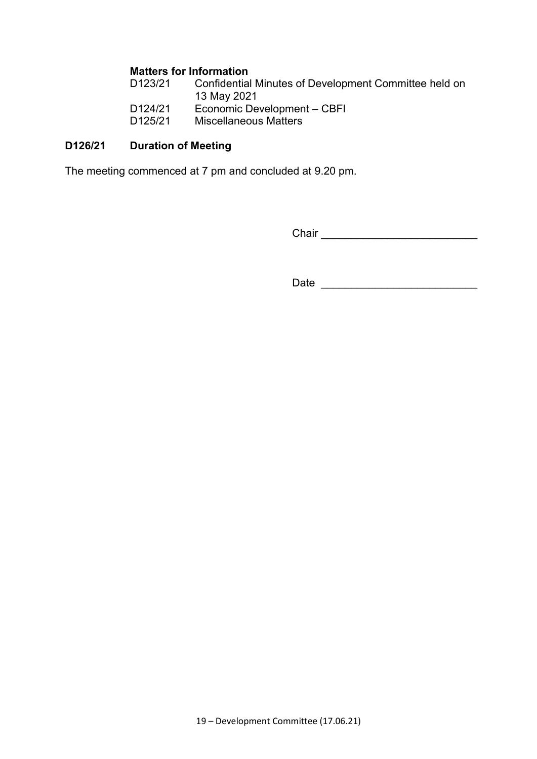#### **Matters for Information**

| D123/21 | Confidential Minutes of Development Committee held on |
|---------|-------------------------------------------------------|
| D124/21 | 13 May 2021<br>Economic Development – CBFI            |
| D125/21 | Miscellaneous Matters                                 |

# **D126/21 Duration of Meeting**

The meeting commenced at 7 pm and concluded at 9.20 pm.

Chair \_\_\_\_\_\_\_\_\_\_\_\_\_\_\_\_\_\_\_\_\_\_\_\_\_\_

Date \_\_\_\_\_\_\_\_\_\_\_\_\_\_\_\_\_\_\_\_\_\_\_\_\_\_